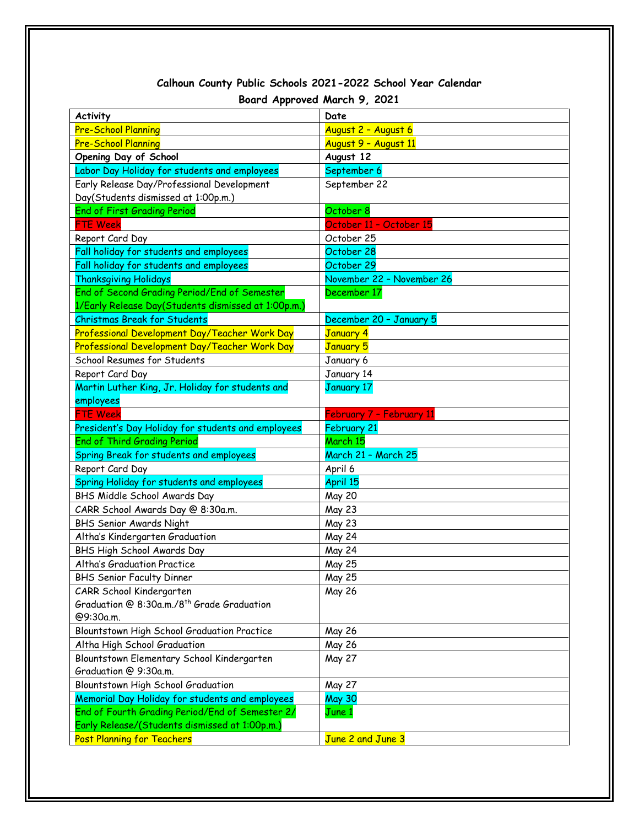## **Calhoun County Public Schools 2021-2022 School Year Calendar Board Approved March 9, 2021**

| <b>Activity</b>                                          | Date                           |
|----------------------------------------------------------|--------------------------------|
| <b>Pre-School Planning</b>                               | August 2 - August 6            |
| <b>Pre-School Planning</b>                               | August 9 - August 11           |
| Opening Day of School                                    | August 12                      |
| Labor Day Holiday for students and employees             | September 6                    |
| Early Release Day/Professional Development               | September 22                   |
| Day(Students dismissed at 1:00p.m.)                      |                                |
| <b>End of First Grading Period</b>                       | October 8                      |
| <b>FTE Week</b>                                          | October 11 - October 15        |
| Report Card Day                                          | October 25                     |
| Fall holiday for students and employees                  | October 28                     |
| Fall holiday for students and employees                  | October 29                     |
| <b>Thanksgiving Holidays</b>                             | November 22 - November 26      |
| End of Second Grading Period/End of Semester             | December 17                    |
| 1/Early Release Day(Students dismissed at 1:00p.m.)      |                                |
| <b>Christmas Break for Students</b>                      | December 20 - January 5        |
| Professional Development Day/Teacher Work Day            | <b>January 4</b>               |
| Professional Development Day/Teacher Work Day            | <b>January 5</b>               |
| School Resumes for Students                              | January 6                      |
| Report Card Day                                          | January 14                     |
| Martin Luther King, Jr. Holiday for students and         | <b>January 17</b>              |
| employees                                                |                                |
| <b>FTE Week</b>                                          | February 7 - February 11       |
| President's Day Holiday for students and employees       | February 21                    |
| <b>End of Third Grading Period</b>                       | March 15                       |
| Spring Break for students and employees                  | March 21 - March 25            |
| Report Card Day                                          | April 6                        |
| Spring Holiday for students and employees                | April 15                       |
| BHS Middle School Awards Day                             | <b>May 20</b>                  |
| CARR School Awards Day @ 8:30a.m.                        | <b>May 23</b>                  |
| BHS Senior Awards Night                                  | <b>May 23</b><br><b>May 24</b> |
| Altha's Kindergarten Graduation                          | <b>May 24</b>                  |
| BHS High School Awards Day                               |                                |
| Altha's Graduation Practice<br>BHS Senior Faculty Dinner | May 25<br>May 25               |
| CARR School Kindergarten                                 | May 26                         |
| Graduation @ 8:30a.m./8 <sup>th</sup> Grade Graduation   |                                |
| @9:30a.m.                                                |                                |
| Blountstown High School Graduation Practice              | May 26                         |
| Altha High School Graduation                             | May 26                         |
| Blountstown Elementary School Kindergarten               | May 27                         |
| Graduation @ 9:30a.m.                                    |                                |
| Blountstown High School Graduation                       | May 27                         |
| Memorial Day Holiday for students and employees          | <b>May 30</b>                  |
| End of Fourth Grading Period/End of Semester 2/          | June 1                         |
| Early Release/(Students dismissed at 1:00p.m.)           |                                |
| <b>Post Planning for Teachers</b>                        | June 2 and June 3              |
|                                                          |                                |